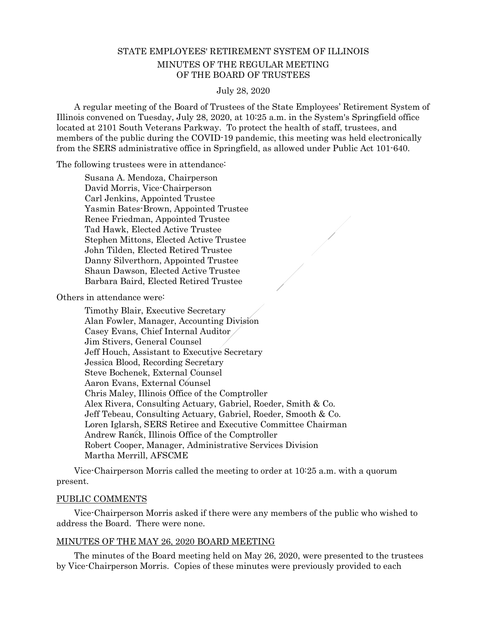# STATE EMPLOYEES' RETIREMENT SYSTEM OF ILLINOIS MINUTES OF THE REGULAR MEETING OF THE BOARD OF TRUSTEES

July 28, 2020

 A regular meeting of the Board of Trustees of the State Employees' Retirement System of Illinois convened on Tuesday, July 28, 2020, at 10:25 a.m. in the System's Springfield office located at 2101 South Veterans Parkway. To protect the health of staff, trustees, and members of the public during the COVID-19 pandemic, this meeting was held electronically from the SERS administrative office in Springfield, as allowed under Public Act 101-640.

The following trustees were in attendance:

Susana A. Mendoza, Chairperson David Morris, Vice-Chairperson Carl Jenkins, Appointed Trustee Yasmin Bates-Brown, Appointed Trustee Renee Friedman, Appointed Trustee Tad Hawk, Elected Active Trustee Stephen Mittons, Elected Active Trustee John Tilden, Elected Retired Trustee Danny Silverthorn, Appointed Trustee Shaun Dawson, Elected Active Trustee Barbara Baird, Elected Retired Trustee

Others in attendance were:

 Timothy Blair, Executive Secretary Alan Fowler, Manager, Accounting Division Casey Evans, Chief Internal Auditor Jim Stivers, General Counsel Jeff Houch, Assistant to Executive Secretary Jessica Blood, Recording Secretary Steve Bochenek, External Counsel Aaron Evans, External Counsel Chris Maley, Illinois Office of the Comptroller Alex Rivera, Consulting Actuary, Gabriel, Roeder, Smith & Co. Jeff Tebeau, Consulting Actuary, Gabriel, Roeder, Smooth & Co. Loren Iglarsh, SERS Retiree and Executive Committee Chairman Andrew Ranck, Illinois Office of the Comptroller Robert Cooper, Manager, Administrative Services Division Martha Merrill, AFSCME

 Vice-Chairperson Morris called the meeting to order at 10:25 a.m. with a quorum present.

### PUBLIC COMMENTS

 Vice-Chairperson Morris asked if there were any members of the public who wished to address the Board. There were none.

### MINUTES OF THE MAY 26, 2020 BOARD MEETING

 The minutes of the Board meeting held on May 26, 2020, were presented to the trustees by Vice-Chairperson Morris. Copies of these minutes were previously provided to each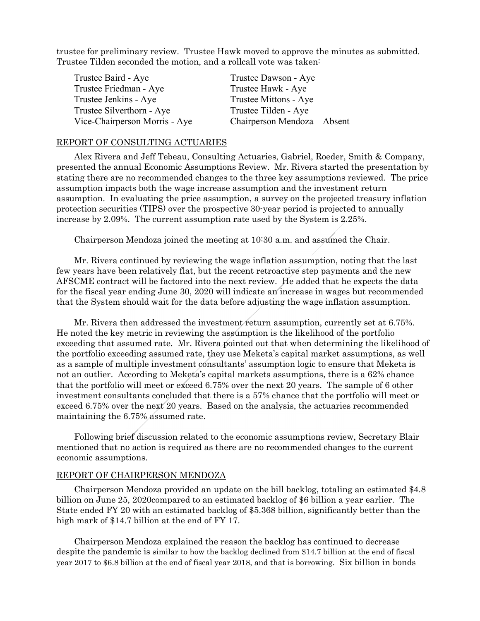trustee for preliminary review. Trustee Hawk moved to approve the minutes as submitted. Trustee Tilden seconded the motion, and a rollcall vote was taken:

| Trustee Baird - Aye           | Trustee Dawson - Aye         |
|-------------------------------|------------------------------|
| Trustee Friedman - Aye        | Trustee Hawk - Aye           |
| Trustee Jenkins - Aye         | Trustee Mittons - Aye        |
| Trustee Silverthorn - Aye     | Trustee Tilden - Aye         |
| Vice-Chairperson Morris - Aye | Chairperson Mendoza – Absent |

#### REPORT OF CONSULTING ACTUARIES

 Alex Rivera and Jeff Tebeau, Consulting Actuaries, Gabriel, Roeder, Smith & Company, presented the annual Economic Assumptions Review. Mr. Rivera started the presentation by stating there are no recommended changes to the three key assumptions reviewed. The price assumption impacts both the wage increase assumption and the investment return assumption. In evaluating the price assumption, a survey on the projected treasury inflation protection securities (TIPS) over the prospective 30-year period is projected to annually increase by 2.09%. The current assumption rate used by the System is 2.25%.

Chairperson Mendoza joined the meeting at 10:30 a.m. and assumed the Chair.

 Mr. Rivera continued by reviewing the wage inflation assumption, noting that the last few years have been relatively flat, but the recent retroactive step payments and the new AFSCME contract will be factored into the next review. He added that he expects the data for the fiscal year ending June 30, 2020 will indicate an increase in wages but recommended that the System should wait for the data before adjusting the wage inflation assumption.

 Mr. Rivera then addressed the investment return assumption, currently set at 6.75%. He noted the key metric in reviewing the assumption is the likelihood of the portfolio exceeding that assumed rate. Mr. Rivera pointed out that when determining the likelihood of the portfolio exceeding assumed rate, they use Meketa's capital market assumptions, as well as a sample of multiple investment consultants' assumption logic to ensure that Meketa is not an outlier. According to Meketa's capital markets assumptions, there is a 62% chance that the portfolio will meet or exceed 6.75% over the next 20 years. The sample of 6 other investment consultants concluded that there is a 57% chance that the portfolio will meet or exceed 6.75% over the next 20 years. Based on the analysis, the actuaries recommended maintaining the 6.75% assumed rate.

 Following brief discussion related to the economic assumptions review, Secretary Blair mentioned that no action is required as there are no recommended changes to the current economic assumptions.

### REPORT OF CHAIRPERSON MENDOZA

 Chairperson Mendoza provided an update on the bill backlog, totaling an estimated \$4.8 billion on June 25, 2020compared to an estimated backlog of \$6 billion a year earlier. The State ended FY 20 with an estimated backlog of \$5.368 billion, significantly better than the high mark of \$14.7 billion at the end of FY 17.

 Chairperson Mendoza explained the reason the backlog has continued to decrease despite the pandemic is similar to how the backlog declined from \$14.7 billion at the end of fiscal year 2017 to \$6.8 billion at the end of fiscal year 2018, and that is borrowing. Six billion in bonds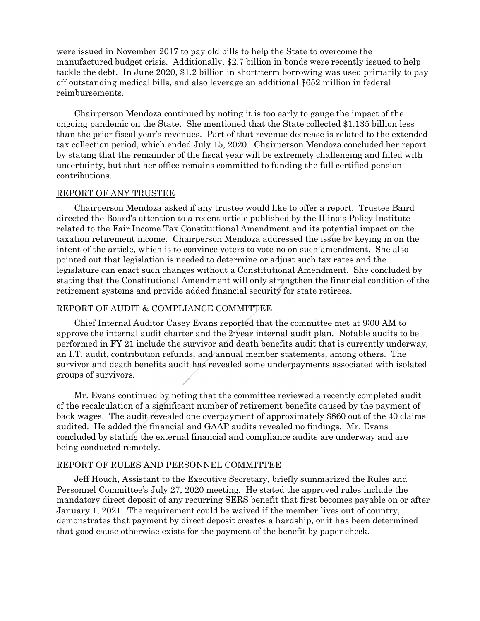were issued in November 2017 to pay old bills to help the State to overcome the manufactured budget crisis. Additionally, \$2.7 billion in bonds were recently issued to help tackle the debt. In June 2020, \$1.2 billion in short-term borrowing was used primarily to pay off outstanding medical bills, and also leverage an additional \$652 million in federal reimbursements.

 Chairperson Mendoza continued by noting it is too early to gauge the impact of the ongoing pandemic on the State. She mentioned that the State collected \$1.135 billion less than the prior fiscal year's revenues. Part of that revenue decrease is related to the extended tax collection period, which ended July 15, 2020. Chairperson Mendoza concluded her report by stating that the remainder of the fiscal year will be extremely challenging and filled with uncertainty, but that her office remains committed to funding the full certified pension contributions.

## REPORT OF ANY TRUSTEE

 Chairperson Mendoza asked if any trustee would like to offer a report. Trustee Baird directed the Board's attention to a recent article published by the Illinois Policy Institute related to the Fair Income Tax Constitutional Amendment and its potential impact on the taxation retirement income. Chairperson Mendoza addressed the issue by keying in on the intent of the article, which is to convince voters to vote no on such amendment. She also pointed out that legislation is needed to determine or adjust such tax rates and the legislature can enact such changes without a Constitutional Amendment. She concluded by stating that the Constitutional Amendment will only strengthen the financial condition of the retirement systems and provide added financial security for state retirees.

## REPORT OF AUDIT & COMPLIANCE COMMITTEE

 Chief Internal Auditor Casey Evans reported that the committee met at 9:00 AM to approve the internal audit charter and the 2-year internal audit plan. Notable audits to be performed in FY 21 include the survivor and death benefits audit that is currently underway, an I.T. audit, contribution refunds, and annual member statements, among others. The survivor and death benefits audit has revealed some underpayments associated with isolated groups of survivors.

 Mr. Evans continued by noting that the committee reviewed a recently completed audit of the recalculation of a significant number of retirement benefits caused by the payment of back wages. The audit revealed one overpayment of approximately \$860 out of the 40 claims audited. He added the financial and GAAP audits revealed no findings. Mr. Evans concluded by stating the external financial and compliance audits are underway and are being conducted remotely.

### REPORT OF RULES AND PERSONNEL COMMITTEE

 Jeff Houch, Assistant to the Executive Secretary, briefly summarized the Rules and Personnel Committee's July 27, 2020 meeting. He stated the approved rules include the mandatory direct deposit of any recurring SERS benefit that first becomes payable on or after January 1, 2021. The requirement could be waived if the member lives out-of-country, demonstrates that payment by direct deposit creates a hardship, or it has been determined that good cause otherwise exists for the payment of the benefit by paper check.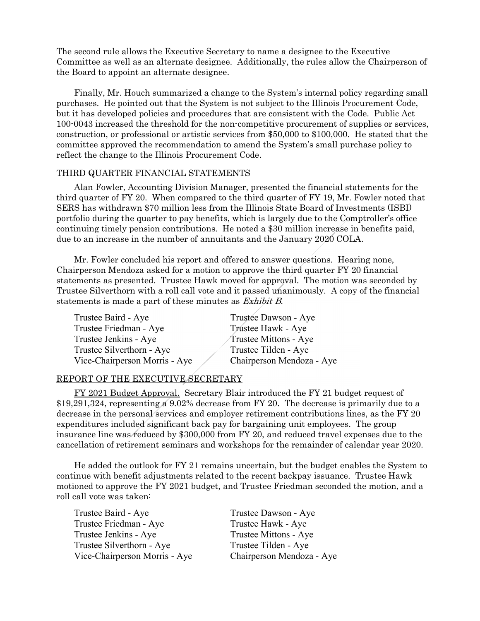The second rule allows the Executive Secretary to name a designee to the Executive Committee as well as an alternate designee. Additionally, the rules allow the Chairperson of the Board to appoint an alternate designee.

 Finally, Mr. Houch summarized a change to the System's internal policy regarding small purchases. He pointed out that the System is not subject to the Illinois Procurement Code, but it has developed policies and procedures that are consistent with the Code. Public Act 100-0043 increased the threshold for the non-competitive procurement of supplies or services, construction, or professional or artistic services from \$50,000 to \$100,000. He stated that the committee approved the recommendation to amend the System's small purchase policy to reflect the change to the Illinois Procurement Code.

### THIRD QUARTER FINANCIAL STATEMENTS

 Alan Fowler, Accounting Division Manager, presented the financial statements for the third quarter of FY 20. When compared to the third quarter of FY 19, Mr. Fowler noted that SERS has withdrawn \$70 million less from the Illinois State Board of Investments (ISBI) portfolio during the quarter to pay benefits, which is largely due to the Comptroller's office continuing timely pension contributions. He noted a \$30 million increase in benefits paid, due to an increase in the number of annuitants and the January 2020 COLA.

 Mr. Fowler concluded his report and offered to answer questions. Hearing none, Chairperson Mendoza asked for a motion to approve the third quarter FY 20 financial statements as presented. Trustee Hawk moved for approval. The motion was seconded by Trustee Silverthorn with a roll call vote and it passed unanimously. A copy of the financial statements is made a part of these minutes as Exhibit B.

| Trustee Baird - Aye           | Trustee Dawson - Aye      |
|-------------------------------|---------------------------|
| Trustee Friedman - Aye        | Trustee Hawk - Aye        |
| Trustee Jenkins - Aye         | Trustee Mittons - Aye     |
| Trustee Silverthorn - Aye     | Trustee Tilden - Aye      |
| Vice-Chairperson Morris - Aye | Chairperson Mendoza - Aye |

### REPORT OF THE EXECUTIVE SECRETARY

 FY 2021 Budget Approval. Secretary Blair introduced the FY 21 budget request of \$19,291,324, representing a 9.02% decrease from FY 20. The decrease is primarily due to a decrease in the personal services and employer retirement contributions lines, as the FY 20 expenditures included significant back pay for bargaining unit employees. The group insurance line was reduced by \$300,000 from FY 20, and reduced travel expenses due to the cancellation of retirement seminars and workshops for the remainder of calendar year 2020.

 He added the outlook for FY 21 remains uncertain, but the budget enables the System to continue with benefit adjustments related to the recent backpay issuance. Trustee Hawk motioned to approve the FY 2021 budget, and Trustee Friedman seconded the motion, and a roll call vote was taken:

| Trustee Baird - Aye           | Trustee Dawson - Aye      |
|-------------------------------|---------------------------|
| Trustee Friedman - Aye        | Trustee Hawk - Aye        |
| Trustee Jenkins - Aye         | Trustee Mittons - Aye     |
| Trustee Silverthorn - Aye     | Trustee Tilden - Aye      |
| Vice-Chairperson Morris - Aye | Chairperson Mendoza - Aye |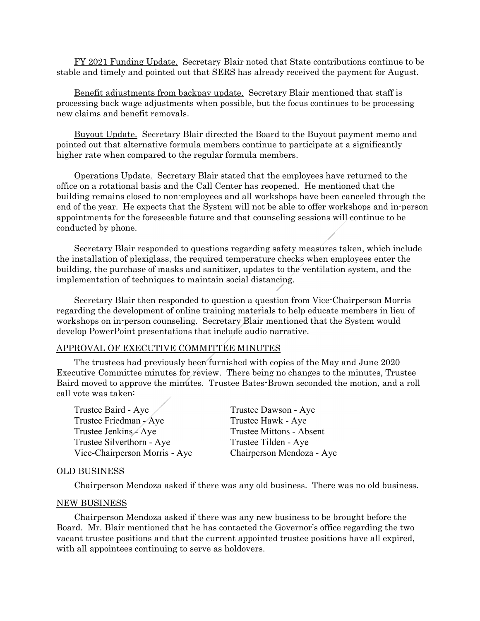FY 2021 Funding Update. Secretary Blair noted that State contributions continue to be stable and timely and pointed out that SERS has already received the payment for August.

 Benefit adjustments from backpay update. Secretary Blair mentioned that staff is processing back wage adjustments when possible, but the focus continues to be processing new claims and benefit removals.

 Buyout Update. Secretary Blair directed the Board to the Buyout payment memo and pointed out that alternative formula members continue to participate at a significantly higher rate when compared to the regular formula members.

 Operations Update. Secretary Blair stated that the employees have returned to the office on a rotational basis and the Call Center has reopened. He mentioned that the building remains closed to non-employees and all workshops have been canceled through the end of the year. He expects that the System will not be able to offer workshops and in-person appointments for the foreseeable future and that counseling sessions will continue to be conducted by phone.

 Secretary Blair responded to questions regarding safety measures taken, which include the installation of plexiglass, the required temperature checks when employees enter the building, the purchase of masks and sanitizer, updates to the ventilation system, and the implementation of techniques to maintain social distancing.

 Secretary Blair then responded to question a question from Vice-Chairperson Morris regarding the development of online training materials to help educate members in lieu of workshops on in-person counseling. Secretary Blair mentioned that the System would develop PowerPoint presentations that include audio narrative.

#### APPROVAL OF EXECUTIVE COMMITTEE MINUTES

 The trustees had previously been furnished with copies of the May and June 2020 Executive Committee minutes for review. There being no changes to the minutes, Trustee Baird moved to approve the minutes. Trustee Bates-Brown seconded the motion, and a roll call vote was taken:

Trustee Baird - Aye / Trustee Dawson - Aye Trustee Friedman - Aye Trustee Hawk - Aye Trustee Jenkins - Aye Trustee Mittons - Absent Trustee Silverthorn - Aye Trustee Tilden - Aye Vice-Chairperson Morris - Aye Chairperson Mendoza - Aye

#### OLD BUSINESS

Chairperson Mendoza asked if there was any old business. There was no old business.

#### NEW BUSINESS

 Chairperson Mendoza asked if there was any new business to be brought before the Board. Mr. Blair mentioned that he has contacted the Governor's office regarding the two vacant trustee positions and that the current appointed trustee positions have all expired, with all appointees continuing to serve as holdovers.